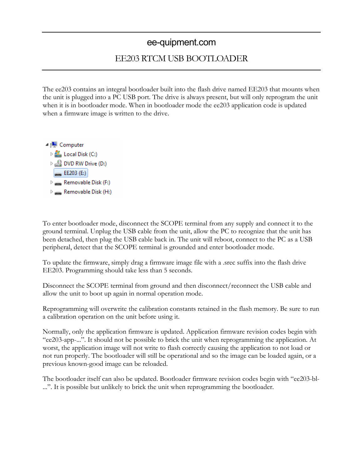## ee-quipment.com

## EE203 RTCM USB BOOTLOADER

The ee203 contains an integral bootloader built into the flash drive named EE203 that mounts when the unit is plugged into a PC USB port. The drive is always present, but will only reprogram the unit when it is in bootloader mode. When in bootloader mode the ee203 application code is updated when a firmware image is written to the drive.



To enter bootloader mode, disconnect the SCOPE terminal from any supply and connect it to the ground terminal. Unplug the USB cable from the unit, allow the PC to recognize that the unit has been detached, then plug the USB cable back in. The unit will reboot, connect to the PC as a USB peripheral, detect that the SCOPE terminal is grounded and enter bootloader mode.

To update the firmware, simply drag a firmware image file with a .srec suffix into the flash drive EE203. Programming should take less than 5 seconds.

Disconnect the SCOPE terminal from ground and then disconnect/reconnect the USB cable and allow the unit to boot up again in normal operation mode.

Reprogramming will overwrite the calibration constants retained in the flash memory. Be sure to run a calibration operation on the unit before using it.

Normally, only the application firmware is updated. Application firmware revision codes begin with "ee203-app-...". It should not be possible to brick the unit when reprogramming the application. At worst, the application image will not write to flash correctly causing the application to not load or not run properly. The bootloader will still be operational and so the image can be loaded again, or a previous known-good image can be reloaded.

The bootloader itself can also be updated. Bootloader firmware revision codes begin with "ee203-bl- ...". It is possible but unlikely to brick the unit when reprogramming the bootloader.